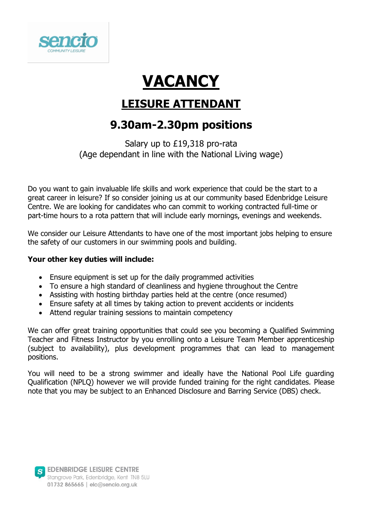

# **VACANCY**

## **LEISURE ATTENDANT**

### **9.30am-2.30pm positions**

Salary up to £19,318 pro-rata (Age dependant in line with the National Living wage)

Do you want to gain invaluable life skills and work experience that could be the start to a great career in leisure? If so consider joining us at our community based Edenbridge Leisure Centre. We are looking for candidates who can commit to working contracted full-time or part-time hours to a rota pattern that will include early mornings, evenings and weekends.

We consider our Leisure Attendants to have one of the most important jobs helping to ensure the safety of our customers in our swimming pools and building.

#### **Your other key duties will include:**

- Ensure equipment is set up for the daily programmed activities
- To ensure a high standard of cleanliness and hygiene throughout the Centre
- Assisting with hosting birthday parties held at the centre (once resumed)
- Ensure safety at all times by taking action to prevent accidents or incidents
- Attend regular training sessions to maintain competency

We can offer great training opportunities that could see you becoming a Qualified Swimming Teacher and Fitness Instructor by you enrolling onto a Leisure Team Member apprenticeship (subject to availability), plus development programmes that can lead to management positions.

You will need to be a strong swimmer and ideally have the National Pool Life guarding Qualification (NPLQ) however we will provide funded training for the right candidates. Please note that you may be subject to an Enhanced Disclosure and Barring Service (DBS) check.